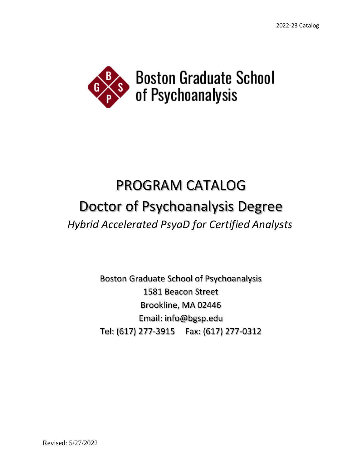

# PROGRAM CATALOG Doctor of Psychoanalysis Degree *Hybrid Accelerated PsyaD for Certified Analysts*

Boston Graduate School of Psychoanalysis 1581 Beacon Street Brookline, MA 02446 Email: info@bgsp.edu Tel: (617) 277-3915 Fax: (617) 277-0312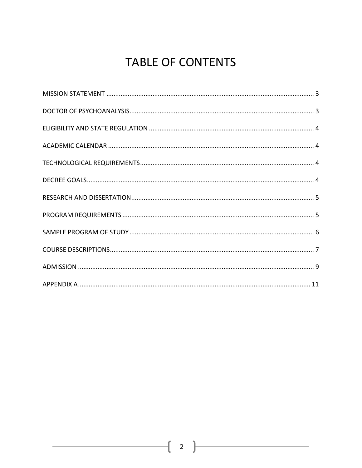# **TABLE OF CONTENTS**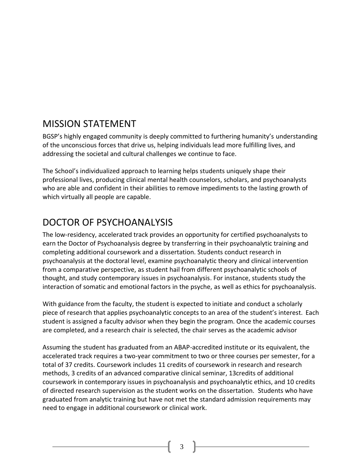# <span id="page-2-0"></span>MISSION STATEMENT

BGSP's highly engaged community is deeply committed to furthering humanity's understanding of the unconscious forces that drive us, helping individuals lead more fulfilling lives, and addressing the societal and cultural challenges we continue to face.

The School's individualized approach to learning helps students uniquely shape their professional lives, producing clinical mental health counselors, scholars, and psychoanalysts who are able and confident in their abilities to remove impediments to the lasting growth of which virtually all people are capable.

# <span id="page-2-1"></span>DOCTOR OF PSYCHOANALYSIS

The low-residency, accelerated track provides an opportunity for certified psychoanalysts to earn the Doctor of Psychoanalysis degree by transferring in their psychoanalytic training and completing additional coursework and a dissertation. Students conduct research in psychoanalysis at the doctoral level, examine psychoanalytic theory and clinical intervention from a comparative perspective, as student hail from different psychoanalytic schools of thought, and study contemporary issues in psychoanalysis. For instance, students study the interaction of somatic and emotional factors in the psyche, as well as ethics for psychoanalysis.

With guidance from the faculty, the student is expected to initiate and conduct a scholarly piece of research that applies psychoanalytic concepts to an area of the student's interest. Each student is assigned a faculty advisor when they begin the program. Once the academic courses are completed, and a research chair is selected, the chair serves as the academic advisor

Assuming the student has graduated from an ABAP-accredited institute or its equivalent, the accelerated track requires a two-year commitment to two or three courses per semester, for a total of 37 credits. Coursework includes 11 credits of coursework in research and research methods, 3 credits of an advanced comparative clinical seminar, 13credits of additional coursework in contemporary issues in psychoanalysis and psychoanalytic ethics, and 10 credits of directed research supervision as the student works on the dissertation. Students who have graduated from analytic training but have not met the standard admission requirements may need to engage in additional coursework or clinical work.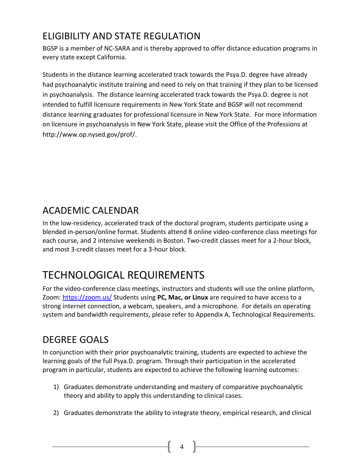# <span id="page-3-0"></span>ELIGIBILITY AND STATE REGULATION

BGSP is a member of [NC-SARA](https://nc-sara.org/) and is thereby approved to offer distance education programs in every state except California.

Students in the distance learning accelerated track towards the Psya.D. degree have already had psychoanalytic institute training and need to rely on that training if they plan to be licensed in psychoanalysis. The distance learning accelerated track towards the Psya.D. degree is not intended to fulfill licensure requirements in New York State and BGSP will not recommend distance learning graduates for professional licensure in New York State. For more information on licensure in psychoanalysis in New York State, please visit the Office of the Professions at [http://www.op.nysed.gov/prof/.](http://www.op.nysed.gov/prof/)

# <span id="page-3-1"></span>ACADEMIC CALENDAR

In the low-residency, accelerated track of the doctoral program, students participate using a blended in-person/online format. Students attend 8 online video-conference class meetings for each course, and 2 intensive weekends in Boston. Two-credit classes meet for a 2-hour block, and most 3-credit classes meet for a 3-hour block.

# <span id="page-3-2"></span>TECHNOLOGICAL REQUIREMENTS

For the video-conference class meetings, instructors and students will use the online platform, Zoom:<https://zoom.us/> Students using **PC, Mac, or Linux** are required to have access to a strong internet connection, a webcam, speakers, and a microphone. For details on operating system and bandwidth requirements, please refer to Appendix A, Technological Requirements.

# <span id="page-3-3"></span>DEGREE GOALS

In conjunction with their prior psychoanalytic training, students are expected to achieve the learning goals of the full Psya.D. program. Through their participation in the accelerated program in particular, students are expected to achieve the following learning outcomes:

- 1) Graduates demonstrate understanding and mastery of comparative psychoanalytic theory and ability to apply this understanding to clinical cases.
- 2) Graduates demonstrate the ability to integrate theory, empirical research, and clinical

 $\begin{bmatrix} 4 \end{bmatrix}$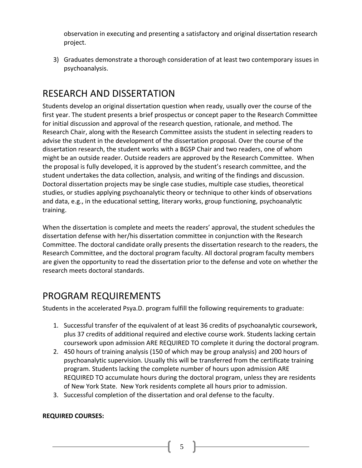observation in executing and presenting a satisfactory and original dissertation research project.

3) Graduates demonstrate a thorough consideration of at least two contemporary issues in psychoanalysis.

# <span id="page-4-0"></span>RESEARCH AND DISSERTATION

Students develop an original dissertation question when ready, usually over the course of the first year. The student presents a brief prospectus or concept paper to the Research Committee for initial discussion and approval of the research question, rationale, and method. The Research Chair, along with the Research Committee assists the student in selecting readers to advise the student in the development of the dissertation proposal. Over the course of the dissertation research, the student works with a BGSP Chair and two readers, one of whom might be an outside reader. Outside readers are approved by the Research Committee. When the proposal is fully developed, it is approved by the student's research committee, and the student undertakes the data collection, analysis, and writing of the findings and discussion. Doctoral dissertation projects may be single case studies, multiple case studies, theoretical studies, or studies applying psychoanalytic theory or technique to other kinds of observations and data, e.g., in the educational setting, literary works, group functioning, psychoanalytic training.

When the dissertation is complete and meets the readers' approval, the student schedules the dissertation defense with her/his dissertation committee in conjunction with the Research Committee. The doctoral candidate orally presents the dissertation research to the readers, the Research Committee, and the doctoral program faculty. All doctoral program faculty members are given the opportunity to read the dissertation prior to the defense and vote on whether the research meets doctoral standards.

# <span id="page-4-1"></span>PROGRAM REQUIREMENTS

Students in the accelerated Psya.D. program fulfill the following requirements to graduate:

- 1. Successful transfer of the equivalent of at least 36 credits of psychoanalytic coursework, plus 37 credits of additional required and elective course work. Students lacking certain coursework upon admission ARE REQUIRED TO complete it during the doctoral program.
- 2. 450 hours of training analysis (150 of which may be group analysis) and 200 hours of psychoanalytic supervision. Usually this will be transferred from the certificate training program. Students lacking the complete number of hours upon admission ARE REQUIRED TO accumulate hours during the doctoral program, unless they are residents of New York State. New York residents complete all hours prior to admission.
- 3. Successful completion of the dissertation and oral defense to the faculty.

#### **REQUIRED COURSES:**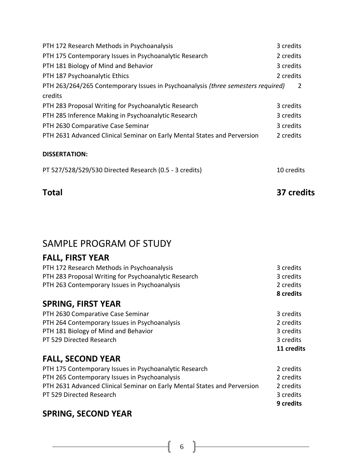| PTH 172 Research Methods in Psychoanalysis                                       |            |  |
|----------------------------------------------------------------------------------|------------|--|
| PTH 175 Contemporary Issues in Psychoanalytic Research                           | 2 credits  |  |
| PTH 181 Biology of Mind and Behavior                                             | 3 credits  |  |
| PTH 187 Psychoanalytic Ethics                                                    | 2 credits  |  |
| PTH 263/264/265 Contemporary Issues in Psychoanalysis (three semesters required) | 2          |  |
| credits                                                                          |            |  |
| PTH 283 Proposal Writing for Psychoanalytic Research                             | 3 credits  |  |
| PTH 285 Inference Making in Psychoanalytic Research                              | 3 credits  |  |
| PTH 2630 Comparative Case Seminar                                                | 3 credits  |  |
| PTH 2631 Advanced Clinical Seminar on Early Mental States and Perversion         | 2 credits  |  |
| <b>DISSERTATION:</b>                                                             |            |  |
| PT 527/528/529/530 Directed Research (0.5 - 3 credits)                           | 10 credits |  |

### **Total 37 credits**

# <span id="page-5-0"></span>SAMPLE PROGRAM OF STUDY

### **FALL, FIRST YEAR**

| CODINA FIDET VEAD                                    |           |
|------------------------------------------------------|-----------|
|                                                      | 8 credits |
| PTH 263 Contemporary Issues in Psychoanalysis        | 2 credits |
| PTH 283 Proposal Writing for Psychoanalytic Research | 3 credits |
| PTH 172 Research Methods in Psychoanalysis           | 3 credits |

### **SPRING, FIRST YEAR**

|                                               | 11 credits |
|-----------------------------------------------|------------|
| PT 529 Directed Research                      | 3 credits  |
| PTH 181 Biology of Mind and Behavior          | 3 credits  |
| PTH 264 Contemporary Issues in Psychoanalysis | 2 credits  |
| PTH 2630 Comparative Case Seminar             | 3 credits  |

## **FALL, SECOND YEAR**

|                                                                          | 9 credits |
|--------------------------------------------------------------------------|-----------|
| PT 529 Directed Research                                                 | 3 credits |
| PTH 2631 Advanced Clinical Seminar on Early Mental States and Perversion | 2 credits |
| PTH 265 Contemporary Issues in Psychoanalysis                            | 2 credits |
| PTH 175 Contemporary Issues in Psychoanalytic Research                   | 2 credits |

## **SPRING, SECOND YEAR**

 $\begin{bmatrix} 6 \end{bmatrix}$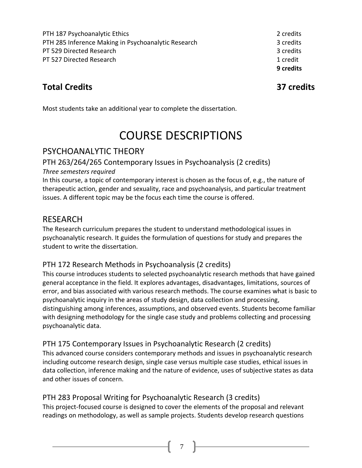PTH 187 Psychoanalytic Ethics 2 credits 2 credits PTH 285 Inference Making in Psychoanalytic Research 3 credits PT 529 Directed Research 3 credits and 2 credits and 3 credits and 3 credits and 3 credits and 3 credits and 3 credits and 3 credits and 3 credits and 3 credits and 3 credits and 3 credits and 3 credits and 3 credits and 3 PT 527 Directed Research 1 credit 1 credit

**9 credits**

## **Total Credits 37 credits**

<span id="page-6-0"></span>Most students take an additional year to complete the dissertation.

# COURSE DESCRIPTIONS

### PSYCHOANALYTIC THEORY

## PTH 263/264/265 Contemporary Issues in Psychoanalysis (2 credits)

#### *Three semesters required*

In this course, a topic of contemporary interest is chosen as the focus of, e.g., the nature of therapeutic action, gender and sexuality, race and psychoanalysis, and particular treatment issues. A different topic may be the focus each time the course is offered.

### RESEARCH

The Research curriculum prepares the student to understand methodological issues in psychoanalytic research. It guides the formulation of questions for study and prepares the student to write the dissertation.

### PTH 172 Research Methods in Psychoanalysis (2 credits)

This course introduces students to selected psychoanalytic research methods that have gained general acceptance in the field. It explores advantages, disadvantages, limitations, sources of error, and bias associated with various research methods. The course examines what is basic to psychoanalytic inquiry in the areas of study design, data collection and processing, distinguishing among inferences, assumptions, and observed events. Students become familiar with designing methodology for the single case study and problems collecting and processing psychoanalytic data.

### PTH 175 Contemporary Issues in Psychoanalytic Research (2 credits)

This advanced course considers contemporary methods and issues in psychoanalytic research including outcome research design, single case versus multiple case studies, ethical issues in data collection, inference making and the nature of evidence, uses of subjective states as data and other issues of concern.

### PTH 283 Proposal Writing for Psychoanalytic Research (3 credits)

This project-focused course is designed to cover the elements of the proposal and relevant readings on methodology, as well as sample projects. Students develop research questions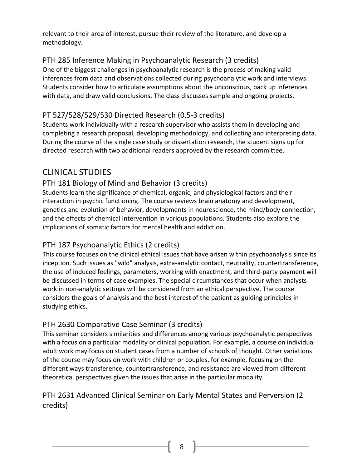relevant to their area of interest, pursue their review of the literature, and develop a methodology.

### PTH 285 Inference Making in Psychoanalytic Research (3 credits)

One of the biggest challenges in psychoanalytic research is the process of making valid inferences from data and observations collected during psychoanalytic work and interviews. Students consider how to articulate assumptions about the unconscious, back up inferences with data, and draw valid conclusions. The class discusses sample and ongoing projects.

#### PT 527/528/529/530 Directed Research (0.5-3 credits)

Students work individually with a research supervisor who assists them in developing and completing a research proposal, developing methodology, and collecting and interpreting data. During the course of the single case study or dissertation research, the student signs up for directed research with two additional readers approved by the research committee.

### CLINICAL STUDIES

### PTH 181 Biology of Mind and Behavior (3 credits)

Students learn the significance of chemical, organic, and physiological factors and their interaction in psychic functioning. The course reviews brain anatomy and development, genetics and evolution of behavior, developments in neuroscience, the mind/body connection, and the effects of chemical intervention in various populations. Students also explore the implications of somatic factors for mental health and addiction.

#### PTH 187 Psychoanalytic Ethics (2 credits)

This course focuses on the clinical ethical issues that have arisen within psychoanalysis since its inception. Such issues as "wild" analysis, extra-analytic contact, neutrality, countertransference, the use of induced feelings, parameters, working with enactment, and third-party payment will be discussed in terms of case examples. The special circumstances that occur when analysts work in non-analytic settings will be considered from an ethical perspective. The course considers the goals of analysis and the best interest of the patient as guiding principles in studying ethics.

### PTH 2630 Comparative Case Seminar (3 credits)

This seminar considers similarities and differences among various psychoanalytic perspectives with a focus on a particular modality or clinical population. For example, a course on individual adult work may focus on student cases from a number of schools of thought. Other variations of the course may focus on work with children or couples, for example, focusing on the different ways transference, countertransference, and resistance are viewed from different theoretical perspectives given the issues that arise in the particular modality.

### PTH 2631 Advanced Clinical Seminar on Early Mental States and Perversion (2 credits)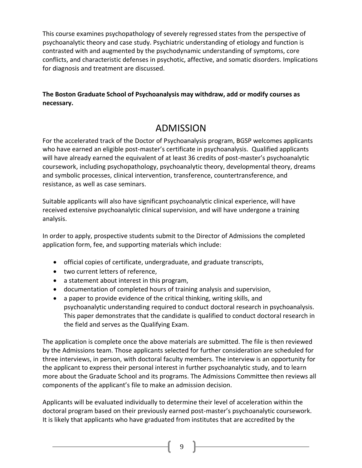This course examines psychopathology of severely regressed states from the perspective of psychoanalytic theory and case study. Psychiatric understanding of etiology and function is contrasted with and augmented by the psychodynamic understanding of symptoms, core conflicts, and characteristic defenses in psychotic, affective, and somatic disorders. Implications for diagnosis and treatment are discussed.

#### <span id="page-8-0"></span>**The Boston Graduate School of Psychoanalysis may withdraw, add or modify courses as necessary.**

# ADMISSION

For the accelerated track of the Doctor of Psychoanalysis program, BGSP welcomes applicants who have earned an eligible post-master's certificate in psychoanalysis. Qualified applicants will have already earned the equivalent of at least 36 credits of post-master's psychoanalytic coursework, including psychopathology, psychoanalytic theory, developmental theory, dreams and symbolic processes, clinical intervention, transference, countertransference, and resistance, as well as case seminars.

Suitable applicants will also have significant psychoanalytic clinical experience, will have received extensive psychoanalytic clinical supervision, and will have undergone a training analysis.

In order to apply, prospective students submit to the Director of Admissions the completed application form, fee, and supporting materials which include:

- official copies of certificate, undergraduate, and graduate transcripts,
- two current letters of reference,
- a statement about interest in this program,
- documentation of completed hours of training analysis and supervision,
- a paper to provide evidence of the critical thinking, writing skills, and psychoanalytic understanding required to conduct doctoral research in psychoanalysis. This paper demonstrates that the candidate is qualified to conduct doctoral research in the field and serves as the Qualifying Exam.

The application is complete once the above materials are submitted. The file is then reviewed by the Admissions team. Those applicants selected for further consideration are scheduled for three interviews, in person, with doctoral faculty members. The interview is an opportunity for the applicant to express their personal interest in further psychoanalytic study, and to learn more about the Graduate School and its programs. The Admissions Committee then reviews all components of the applicant's file to make an admission decision.

Applicants will be evaluated individually to determine their level of acceleration within the doctoral program based on their previously earned post-master's psychoanalytic coursework. It is likely that applicants who have graduated from institutes that are accredited by the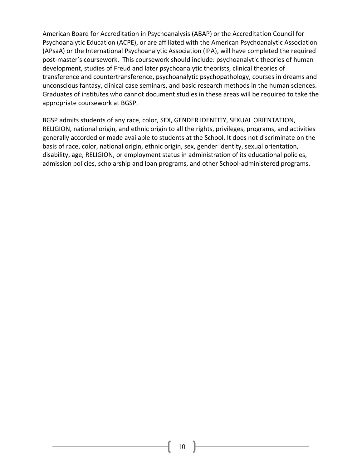American Board for Accreditation in Psychoanalysis (ABAP) or the Accreditation Council for Psychoanalytic Education (ACPE), or are affiliated with the American Psychoanalytic Association (APsaA) or the International Psychoanalytic Association (IPA), will have completed the required post-master's coursework. This coursework should include: psychoanalytic theories of human development, studies of Freud and later psychoanalytic theorists, clinical theories of transference and countertransference, psychoanalytic psychopathology, courses in dreams and unconscious fantasy, clinical case seminars, and basic research methods in the human sciences. Graduates of institutes who cannot document studies in these areas will be required to take the appropriate coursework at BGSP.

BGSP admits students of any race, color, SEX, GENDER IDENTITY, SEXUAL ORIENTATION, RELIGION, national origin, and ethnic origin to all the rights, privileges, programs, and activities generally accorded or made available to students at the School. It does not discriminate on the basis of race, color, national origin, ethnic origin, sex, gender identity, sexual orientation, disability, age, RELIGION, or employment status in administration of its educational policies, admission policies, scholarship and loan programs, and other School-administered programs.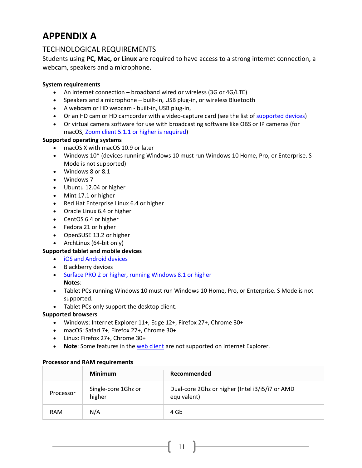# <span id="page-10-0"></span>**APPENDIX A**

#### TECHNOLOGICAL REQUIREMENTS

Students using **PC, Mac, or Linux** are required to have access to a strong internet connection, a webcam, speakers and a microphone.

#### **System requirements**

- An internet connection broadband wired or wireless (3G or 4G/LTE)
- Speakers and a microphone built-in, USB plug-in, or wireless Bluetooth
- A webcam or HD webcam built-in, USB plug-in,
- Or an HD cam or HD camcorder with a video-capture card (see the list of [supported devices\)](https://support.zoom.us/hc/en-us/articles/360026690212)
- Or virtual camera software for use with broadcasting software like OBS or IP cameras (for macOS, [Zoom client 5.1.1 or higher is required\)](https://support.zoom.us/hc/en-us/articles/360044801671)

#### **Supported operating systems**

- macOS X with macOS 10.9 or later
- Windows 10\* (devices running Windows 10 must run Windows 10 Home, Pro, or Enterprise. S Mode is not supported)
- Windows 8 or 8.1
- Windows 7
- Ubuntu 12.04 or higher
- Mint 17.1 or higher
- Red Hat Enterprise Linux 6.4 or higher
- Oracle Linux 6.4 or higher
- CentOS 6.4 or higher
- Fedora 21 or higher
- OpenSUSE 13.2 or higher
- ArchLinux (64-bit only)

#### **Supported tablet and mobile devices**

- [iOS and Android devices](https://support.zoom.us/hc/en-us/articles/201179966)
- Blackberry devices
- [Surface PRO 2 or higher, running Windows 8.1 or higher](http://www.microsoft.com/surface/en-us/products/surface-pro-2) **Notes**:
- Tablet PCs running Windows 10 must run Windows 10 Home, Pro, or Enterprise. S Mode is not supported.
- Tablet PCs only support the desktop client.

#### **Supported browsers**

- Windows: Internet Explorer 11+, Edge 12+, Firefox 27+, Chrome 30+
- macOS: Safari 7+, Firefox 27+, Chrome 30+
- Linux: Firefox 27+, Chrome 30+
- **Note**: Some features in the [web client](https://support.zoom.us/hc/en-us/articles/360027397692) are not supported on Internet Explorer.

#### **Processor and RAM requirements**

|            | <b>Minimum</b>                | Recommended                                                    |
|------------|-------------------------------|----------------------------------------------------------------|
| Processor  | Single-core 1Ghz or<br>higher | Dual-core 2Ghz or higher (Intel i3/i5/i7 or AMD<br>equivalent) |
| <b>RAM</b> | N/A                           | 4 Gb                                                           |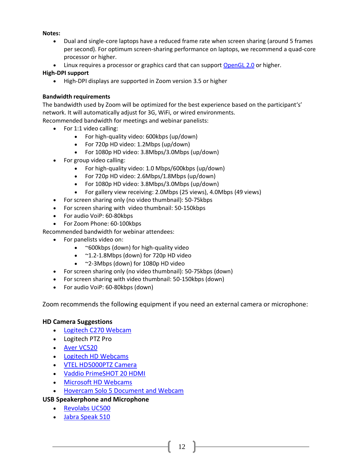#### **Notes:**

- Dual and single-core laptops have a reduced frame rate when screen sharing (around 5 frames per second). For optimum screen-sharing performance on laptops, we recommend a quad-core processor or higher.
- Linux requires a processor or graphics card that can support [OpenGL 2.0](https://en.wikipedia.org/wiki/OpenGL#OpenGL_2.0) or higher.

#### **High-DPI support**

• High-DPI displays are supported in Zoom version 3.5 or higher

#### **Bandwidth requirements**

The bandwidth used by Zoom will be optimized for the best experience based on the participant's' network. It will automatically adjust for 3G, WiFi, or wired environments.

Recommended bandwidth for meetings and webinar panelists:

- For 1:1 video calling:
	- For high-quality video: 600kbps (up/down)
	- For 720p HD video: 1.2Mbps (up/down)
	- For 1080p HD video: 3.8Mbps/3.0Mbps (up/down)
- For group video calling:
	- For high-quality video: 1.0 Mbps/600kbps (up/down)
	- For 720p HD video: 2.6Mbps/1.8Mbps (up/down)
	- For 1080p HD video: 3.8Mbps/3.0Mbps (up/down)
	- For gallery view receiving: 2.0Mbps (25 views), 4.0Mbps (49 views)
- For screen sharing only (no video thumbnail): 50-75kbps
- For screen sharing with video thumbnail: 50-150kbps
- For audio VoiP: 60-80kbps
- For Zoom Phone: 60-100kbps

Recommended bandwidth for webinar attendees:

- For panelists video on:
	- ~600kbps (down) for high-quality video
	- ~1.2-1.8Mbps (down) for 720p HD video
	- ~2-3Mbps (down) for 1080p HD video
- For screen sharing only (no video thumbnail): 50-75kbps (down)
- For screen sharing with video thumbnail: 50-150kbps (down)
- For audio VoiP: 60-80kbps (down)

Zoom recommends the following equipment if you need an external camera or microphone:

12

#### **HD Camera Suggestions**

- [Logitech C270 Webcam](https://www.logitech.com/en-us/products/webcams/c270-hd-webcam.960-000694.html)
- Logitech PTZ Pro
- [Aver VC520](http://www.averusa.com/video-collaboration/products/vc520-usb-conference-camera.asp)
- [Logitech HD Webcams](http://www.logitech.com/en-us/webcam-communications/webcams)
- [VTEL HD5000PTZ Camera](https://www.vtel.com/hd5000ptz-camera.html)
- [Vaddio PrimeSHOT 20 HDMI](https://www.legrandav.com/products/vaddio/cameras/hd_ptz_cameras/~/link.aspx?_id=8FAB0D43A2D54A08A8F607D7F1A12E20&_z=z)
- [Microsoft HD Webcams](http://www.microsoft.com/hardware/en-us/webcams)
- [Hovercam Solo 5 Document and Webcam](http://www.thehovercam.com/products/solo5)

#### **USB Speakerphone and Microphone**

- [Revolabs UC500](http://www.revolabs.com/products/conference-phones/wired-conference-phones/usb/flx-uc-500)
- [Jabra Speak 510](http://www.jabra.com/Products/PC_Headsets/Jabra_SPEAK__510_Series/Jabra_Speak_510)